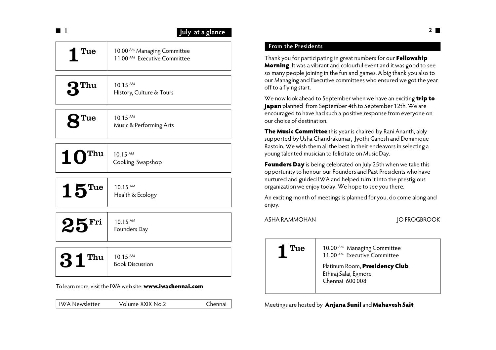| l 1                                                       |                                                                                   | July at a glance |
|-----------------------------------------------------------|-----------------------------------------------------------------------------------|------------------|
| 1 Tue                                                     | 10.00 <sup>AM</sup> Managing Committee<br>11.00 <sup>AM</sup> Executive Committee |                  |
| $\mathbf{r}_{\mathrm{nu}}$                                | 10.15 AM<br>History, Culture & Tours                                              |                  |
| <b>2</b> Tue                                              | 10.15 AM<br>Music & Performing Arts                                               |                  |
| Thu<br><b>10</b>                                          | 10.15 AM<br>Cooking Swapshop                                                      |                  |
| $15$ <sup>Tue</sup>                                       | 10.15 AM<br>Health & Ecology                                                      |                  |
| $25$ Fri                                                  | 10.15 AM<br>Founders Day                                                          |                  |
| $31$ <sup>Thu</sup>                                       | 10.15 AM<br><b>Book Discussion</b>                                                |                  |
| To learn more, visit the IWA web site: www.iwachennai.com |                                                                                   |                  |
| <b>IWA Newsletter</b>                                     | Volume XXIX No.2                                                                  | Chennai          |

## **From the Presidents**

Thank you for participating in great numbers for our **Fellowship Morning**. It was a vibrant and colourful event and it was good to see so many people joining in the fun and games. A big thank you also to our Managing and Executive committees who ensured we got the year off to a flying start.

We now look ahead to September when we have an exciting **trip to Japan** planned from September 4th to September 12th. We are encouraged to have had such a positive response from everyone on our choice of destination.

**The Music Committee** this year is chaired by Rani Ananth, ably supported by Usha Chandrakumar, Jyothi Ganesh and Dominique Rastoin. We wish them all the best in their endeavors in selecting a young talented musician to felicitate on Music Day.

**Founders Day** is being celebrated on July 25th when we take this opportunity to honour our Founders and Past Presidents who have nurtured and guided IWA and helped turn it into the prestigious organization we enjoy today. We hope to see you there.

An exciting month of meetings is planned for you, do come along and enjoy.

ASHA RAMMOHAN JO FROGBROOK

1 Tue 10.00 AM Managing Committee 11.00<sup>AM</sup> Executive Committee Platinum Room, **Presidency Club** Ethiraj Salai, Egmore Chennai 600 008

Meetings are hosted by **Anjana Sunil** and **Mahavesh Sait**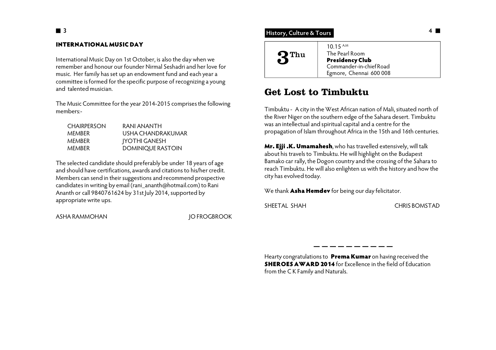### **INTERNATIONAL MUSIC DAY**

International Music Day on 1st October, is also the day when we remember and honour our founder Nirmal Seshadri and her love for music. Her family has set up an endowment fund and each year a committee is formed for the specific purpose of recognizing a young and talented musician.

The Music Committee for the year 2014-2015 comprises the following members:-

| <b>CHAIRPERSON</b> | RANI ANANTH          |
|--------------------|----------------------|
| <b>MEMBER</b>      | USHA CHANDRAKUMAR.   |
| <b>MEMBER</b>      | <b>IYOTHI GANESH</b> |
| <b>MEMBER</b>      | DOMINIQUE RASTOIN    |

The selected candidate should preferably be under 18 years of age and should have certifications, awards and citations to his/her credit. Members can send in their suggestions and recommend prospective candidates in writing by email (rani\_ananth@hotmail.com) to Rani Ananth or call 9840761624 by 31st July 2014, supported by appropriate write ups.

ASHA RAMMOHAN JO FROGBROOK

## **History, Culture & Tours**

| ) Thu<br>$\bullet$ | $10.15$ <sup>A.M</sup><br>The Pearl Room<br><b>Presidency Club</b><br>Commander-in-chief Road<br>Egmore, Chennai 600 008 |
|--------------------|--------------------------------------------------------------------------------------------------------------------------|
|--------------------|--------------------------------------------------------------------------------------------------------------------------|

## **Get Lost to Timbuktu**

Timbuktu - A city in the West African nation of Mali, situated north of the River Niger on the southern edge of the Sahara desert. Timbuktu was an intellectual and spiritual capital and a centre for the propagation of Islam throughout Africa in the 15th and 16th centuries.

**Mr. Ejji .K. Umamahesh**, who has travelled extensively, will talk about his travels to Timbuktu. He will highlight on the Budapest Bamako car rally, the Dogon country and the crossing of the Sahara to reach Timbuktu. He will also enlighten us with the history and how the city has evolved today.

We thank **Asha Hemdev** for being our day felicitator.

SHEETAL SHAH CHRIS BOMSTAD

Hearty congratulations to **Prema Kumar** on having received the **SHEROES AWARD 2014** for Excellence in the field of Education from the C K Family and Naturals.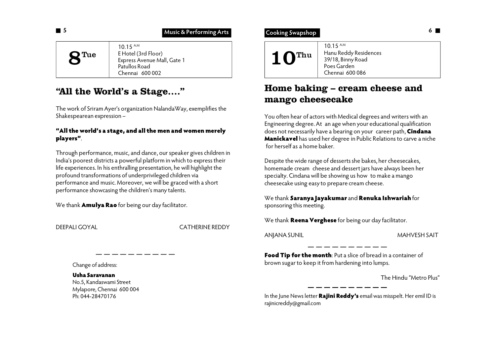### **Music & Performing Arts**

| $\mathbf{\mathbf{Q}}$ Tue | $10.15$ AM<br>E Hotel (3rd Floor)<br>Express Avenue Mall, Gate 1<br>Patullos Road<br>Chennai 600002 |
|---------------------------|-----------------------------------------------------------------------------------------------------|
|---------------------------|-----------------------------------------------------------------------------------------------------|

## **"All the World's a Stage…."**

The work of Sriram Ayer's organization NalandaWay, exemplifies the Shakespearean expression –

### **"All the world's a stage, and all the men and women merely players"**.

Through performance, music, and dance, our speaker gives children in India's poorest districts a powerful platform in which to express their life experiences. In his enthralling presentation, he will highlight the profound transformations of underprivileged children via performance and music. Moreover, we will be graced with a short performance showcasing the children's many talents.

We thank **Amulya Rao** for being our day facilitator.

DEEPALI GOYAL CATHERINE REDDY

Change of address:

**Usha Saravanan** No.5, Kandaswami Street Mylapore, Chennai 600 004 Ph: 044-28470176

## **<sup>6</sup> Cooking Swapshop**



# **Home baking – cream cheese and mango cheesecake**

You often hear of actors with Medical degrees and writers with an Engineering degree. At an age when your educational qualification does not necessarily have a bearing on your career path, **Cindana Manickavel** has used her degree in Public Relations to carve a niche for herself as a home baker.

Despite the wide range of desserts she bakes, her cheesecakes, homemade cream cheese and dessert jars have always been her specialty. Cindana will be showing us how to make a mango cheesecake using easy to prepare cream cheese.

We thank **Saranya Jayakumar** and **Renuka Ishwariah** for sponsoring this meeting.

We thank **Reena Verghese** for being our day facilitator.

ANJANA SUNIL MAHVESH SAIT

**Food Tip for the month**: Put a slice of bread in a container of brown sugar to keep it from hardening into lumps.

The Hindu "Metro Plus"

In the June News letter **Rajini Reddy's** email was misspelt. Her emil ID is rajinicreddy@gmail.com

 **5**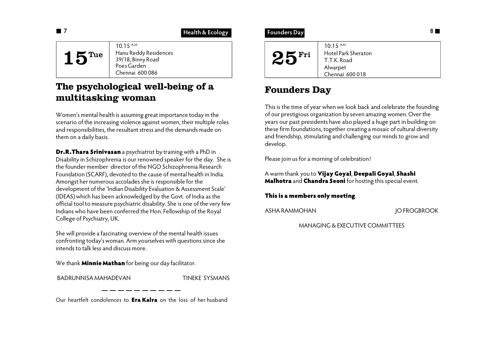## **Health & Ecology**

| $15$ <sup>Tue</sup> | $10.15$ AM<br>Hanu Reddy Residences<br>39/18, Binny Road<br>Poes Garden<br>Chennai 600 086 |
|---------------------|--------------------------------------------------------------------------------------------|

# **The psychological well-being of a multitasking woman**

Women's mental health is assuming great importance today in the scenario of the increasing violence against women, their multiple roles and responsibilities, the resultant stress and the demands made on them on a daily basis.

**Dr.R.Thara Srinivasan** a psychiatrist by training with a PhD in Disability in Schizophrenia is our renowned speaker for the day. She is the founder member director of the NGO Schizophrenia Research Foundation (SCARF), devoted to the cause of mental health in India. Amongst her numerous accolades she is responsible for the development of the 'Indian Disability Evaluation & Assessment Scale' (IDEAS) which has been acknowledged by the Govt. of India as the official tool to measure psychiatric disability. She is one of the very few Indians who have been conferred the Hon. Fellowship of the Royal College of Psychiatry, UK.

She will provide a fascinating overview of the mental health issues confronting today's woman. Arm yourselves with questions since she intends to talk less and discuss more.

We thank **Minnie Mathan** for being our day facilitator.

BADRUNNISA MAHADEVAN TINEKE SYSMANS

Our heartfelt condolences to **Era Kalra** on the loss of her husband

## **Founders Day**

| $10.15$ AM<br>Hotel Park Sheraton<br>$25^{\rm Fri}$<br>T.T.K. Road<br>Alwarpet<br>Chennai 600 018 |
|---------------------------------------------------------------------------------------------------|
|---------------------------------------------------------------------------------------------------|

# **Founders Day**

This is the time of year when we look back and celebrate the founding of our prestigious organization by seven amazing women. Over the years our past presidents have also played a huge part in building on these firm foundations, together creating a mosaic of cultural diversity and friendship, stimulating and challenging our minds to grow and develop.

Please join us for a morning of celebration!

A warm thank you to **Vijay Goyal**, **Deepali Goyal**, **Shashi Malhotra** and **Chandra Seoni** for hosting this special event.

**This is a members only meeting**.

ASHA RAMMOHAN JO FROGBROOK

MANAGING & EXECUTIVE COMMITTEES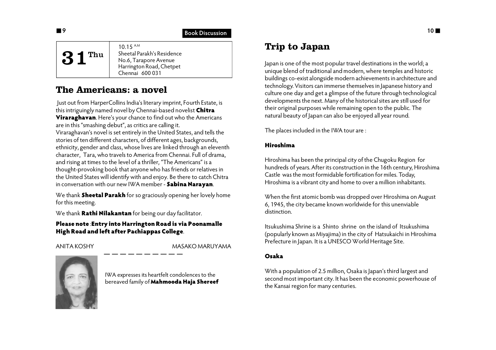## **19** Book Discussion

| $31$ <sup>Thu</sup> | 10.15 A.M<br>Sheetal Parakh's Residence<br>No.6, Tarapore Avenue<br>Harrington Road, Chetpet<br>Chennai 600 031 |
|---------------------|-----------------------------------------------------------------------------------------------------------------|
|---------------------|-----------------------------------------------------------------------------------------------------------------|

## **The Americans: a novel**

 Just out from HarperCollins India's literary imprint, Fourth Estate, is this intriguingly named novel by Chennai-based novelist **Chitra Viraraghavan**. Here's your chance to find out who the Americans are in this "smashing debut", as critics are calling it. Viraraghavan's novel is set entirely in the United States, and tells the stories of ten different characters, of different ages, backgrounds, ethnicity, gender and class, whose lives are linked through an eleventh character, Tara, who travels to America from Chennai. Full of drama, and rising at times to the level of a thriller, "The Americans" is a thought-provoking book that anyone who has friends or relatives in the United States will identify with and enjoy. Be there to catch Chitra in conversation with our new IWA member - **Sabina Narayan**.

We thank **Sheetal Parakh** for so graciously opening her lovely home for this meeting.

We thank **Rathi Nilakantan** for being our day facilitator.

## **Please note** :**Entry into Harrington Road is via Poonamalle High Road and left after Pachiappas College**.

ANITA KOSHY MASAKO MARUYAMA



IWA expresses its heartfelt condolences to the bereaved family of **Mahmooda Haja Shereef**

# **Trip to Japan**

Japan is one of the most popular travel destinations in the world; a unique blend of traditional and modern, where temples and historic buildings co-exist alongside modern achievements in architecture and technology. Visitors can immerse themselves in Japanese history and culture one day and get a glimpse of the future through technological developments the next. Many of the historical sites are still used for their original purposes while remaining open to the public. The natural beauty of Japan can also be enjoyed all year round.

The places included in the IWA tour are :

## **Hiroshima**

Hiroshima has been the principal city of the Chugoku Region for hundreds of years. After its construction in the 16th century, Hiroshima Castle was the most formidable fortification for miles. Today, Hiroshima is a vibrant city and home to over a million inhabitants.

When the first atomic bomb was dropped over Hiroshima on August 6, 1945, the city became known worldwide for this unenviable distinction.

Itsukushima Shrine is a Shinto shrine on the island of Itsukushima (popularly known as Miyajima) in the city of Hatsukaichi in Hiroshima Prefecture in Japan. It is a UNESCO World Heritage Site.

## **Osaka**

With a population of 2.5 million, Osaka is Japan's third largest and second most important city. It has been the economic powerhouse of the Kansai region for many centuries.